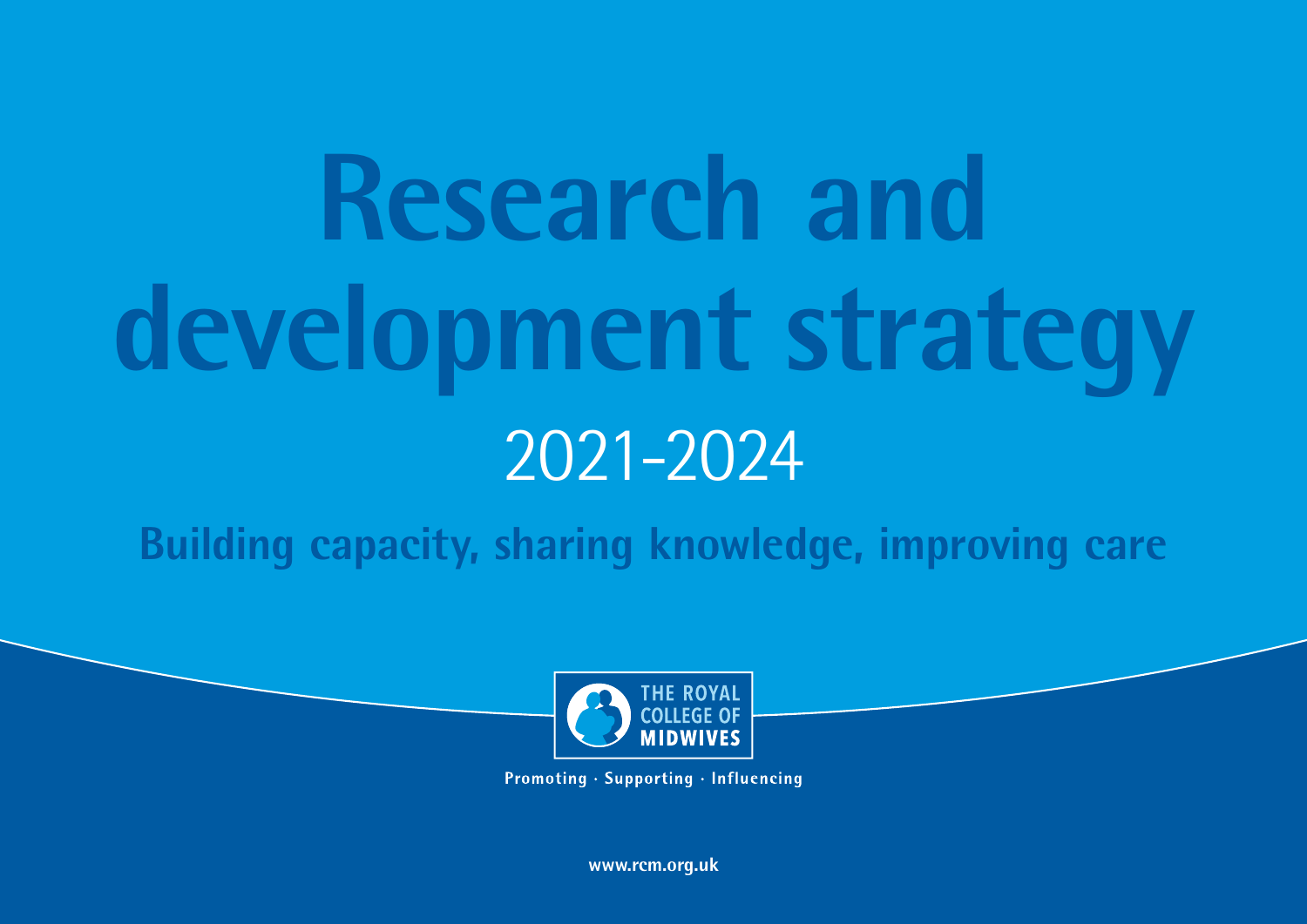**Research and development strategy** 2021-2024

**Building capacity, sharing knowledge, improving care**



Promoting · Supporting · Influencing

**www.rcm.org.uk**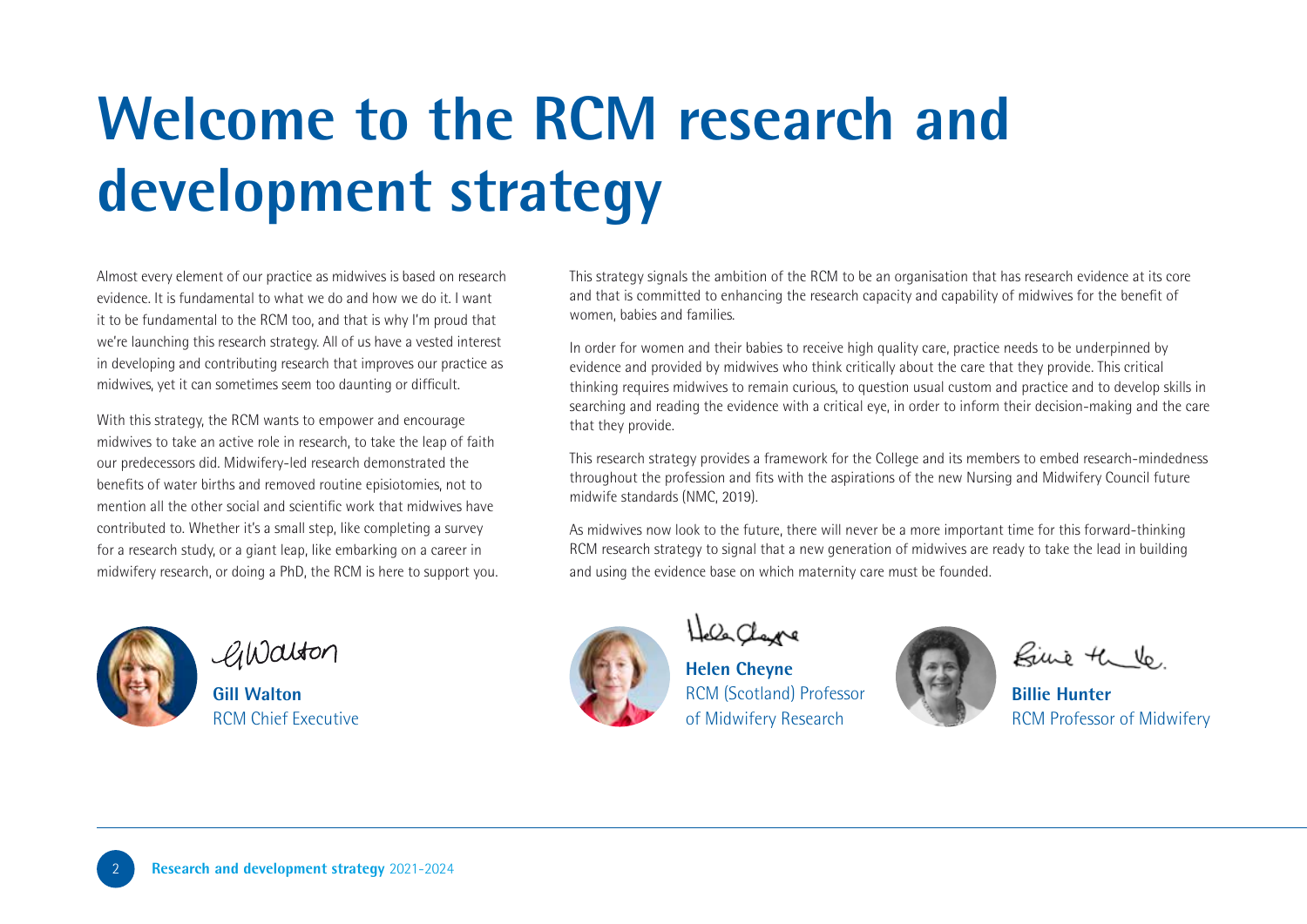# **Welcome to the RCM research and development strategy**

Almost every element of our practice as midwives is based on research evidence. It is fundamental to what we do and how we do it. I want it to be fundamental to the RCM too, and that is why I'm proud that we're launching this research strategy. All of us have a vested interest in developing and contributing research that improves our practice as midwives, yet it can sometimes seem too daunting or difficult.

With this strategy, the RCM wants to empower and encourage midwives to take an active role in research, to take the leap of faith our predecessors did. Midwifery-led research demonstrated the benefits of water births and removed routine episiotomies, not to mention all the other social and scientific work that midwives have contributed to. Whether it's a small step, like completing a survey for a research study, or a giant leap, like embarking on a career in midwifery research, or doing a PhD, the RCM is here to support you.



GWalton

**Gill Walton** RCM Chief Executive

This strategy signals the ambition of the RCM to be an organisation that has research evidence at its core and that is committed to enhancing the research capacity and capability of midwives for the benefit of women, babies and families.

In order for women and their babies to receive high quality care, practice needs to be underpinned by evidence and provided by midwives who think critically about the care that they provide. This critical thinking requires midwives to remain curious, to question usual custom and practice and to develop skills in searching and reading the evidence with a critical eye, in order to inform their decision-making and the care that they provide.

This research strategy provides a framework for the College and its members to embed research-mindedness throughout the profession and fits with the aspirations of the new Nursing and Midwifery Council future midwife standards (NMC, 2019).

As midwives now look to the future, there will never be a more important time for this forward-thinking RCM research strategy to signal that a new generation of midwives are ready to take the lead in building and using the evidence base on which maternity care must be founded.



Hele Clare

**Helen Cheyne** RCM (Scotland) Professor of Midwifery Research

Rive the Vo.

**Billie Hunter** RCM Professor of Midwifery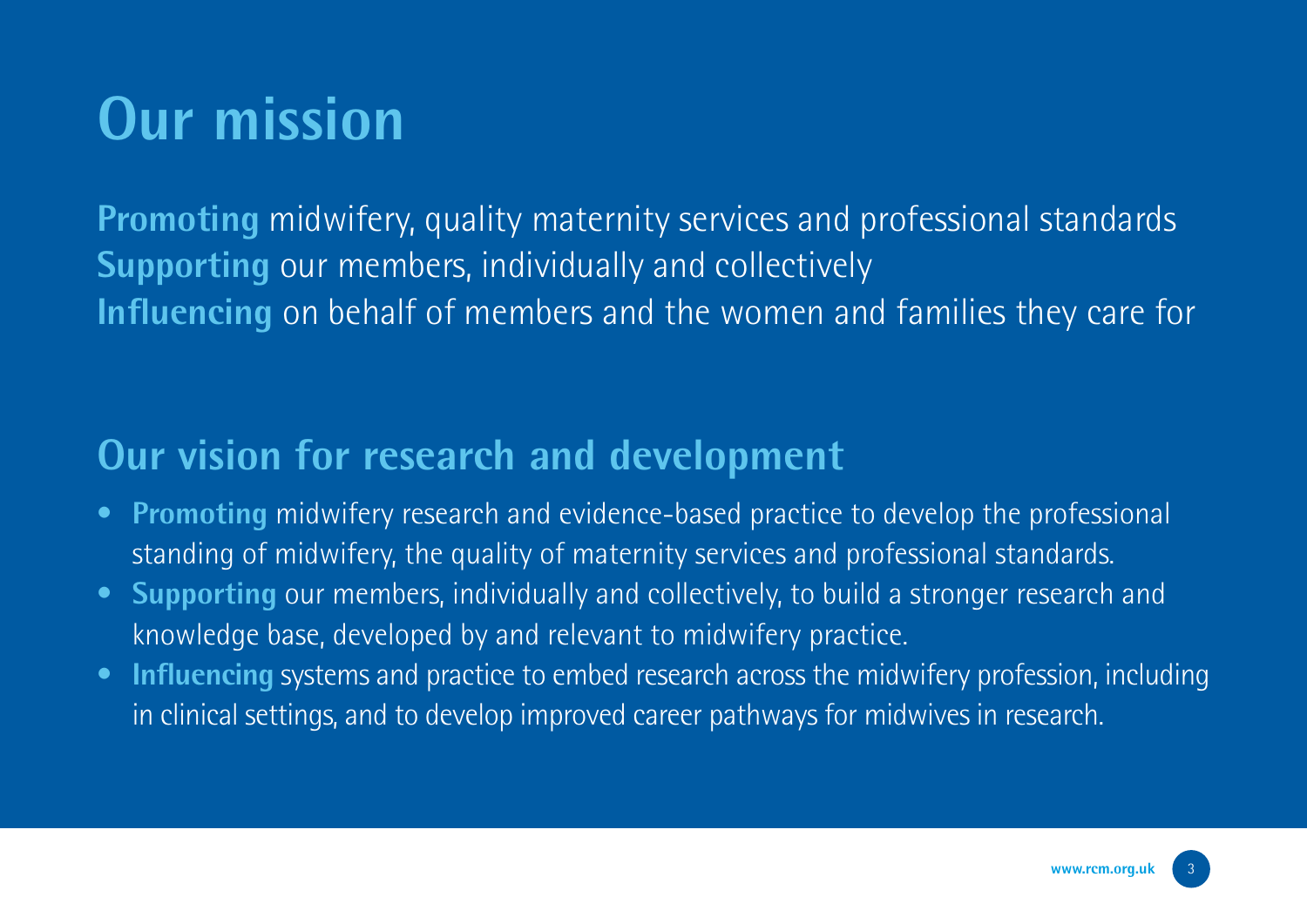### **Our mission**

**Promoting** midwifery, quality maternity services and professional standards **Supporting** our members, individually and collectively **Influencing** on behalf of members and the women and families they care for

#### **Our vision for research and development**

- **Promoting** midwifery research and evidence-based practice to develop the professional standing of midwifery, the quality of maternity services and professional standards.
- **Supporting** our members, individually and collectively, to build a stronger research and knowledge base, developed by and relevant to midwifery practice.
- **Influencing** systems and practice to embed research across the midwifery profession, including in clinical settings, and to develop improved career pathways for midwives in research.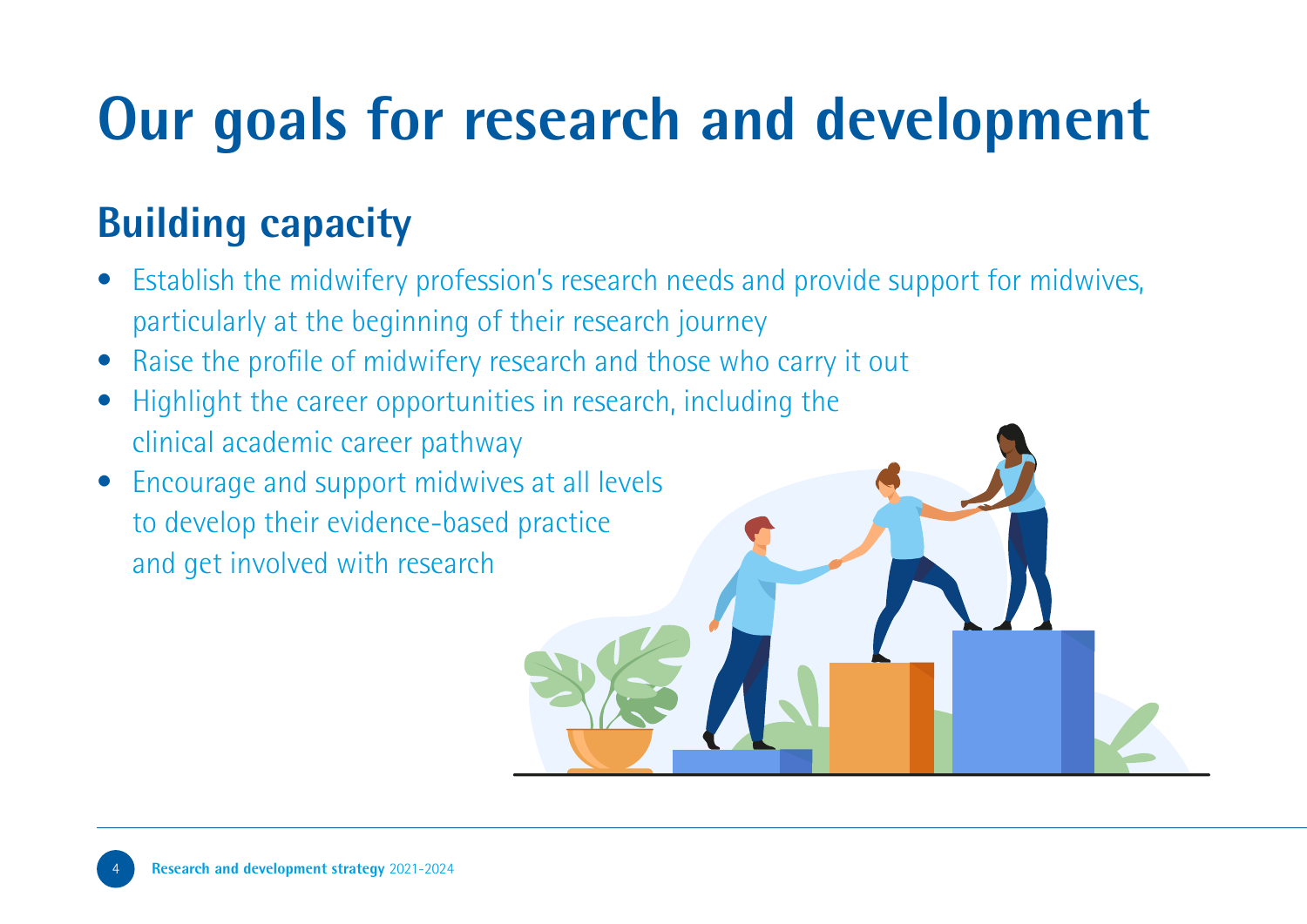# **Our goals for research and development**

### **Building capacity**

- Establish the midwifery profession's research needs and provide support for midwives, particularly at the beginning of their research journey
- Raise the profile of midwifery research and those who carry it out
- Highlight the career opportunities in research, including the clinical academic career pathway
- Encourage and support midwives at all levels to develop their evidence-based practice and get involved with research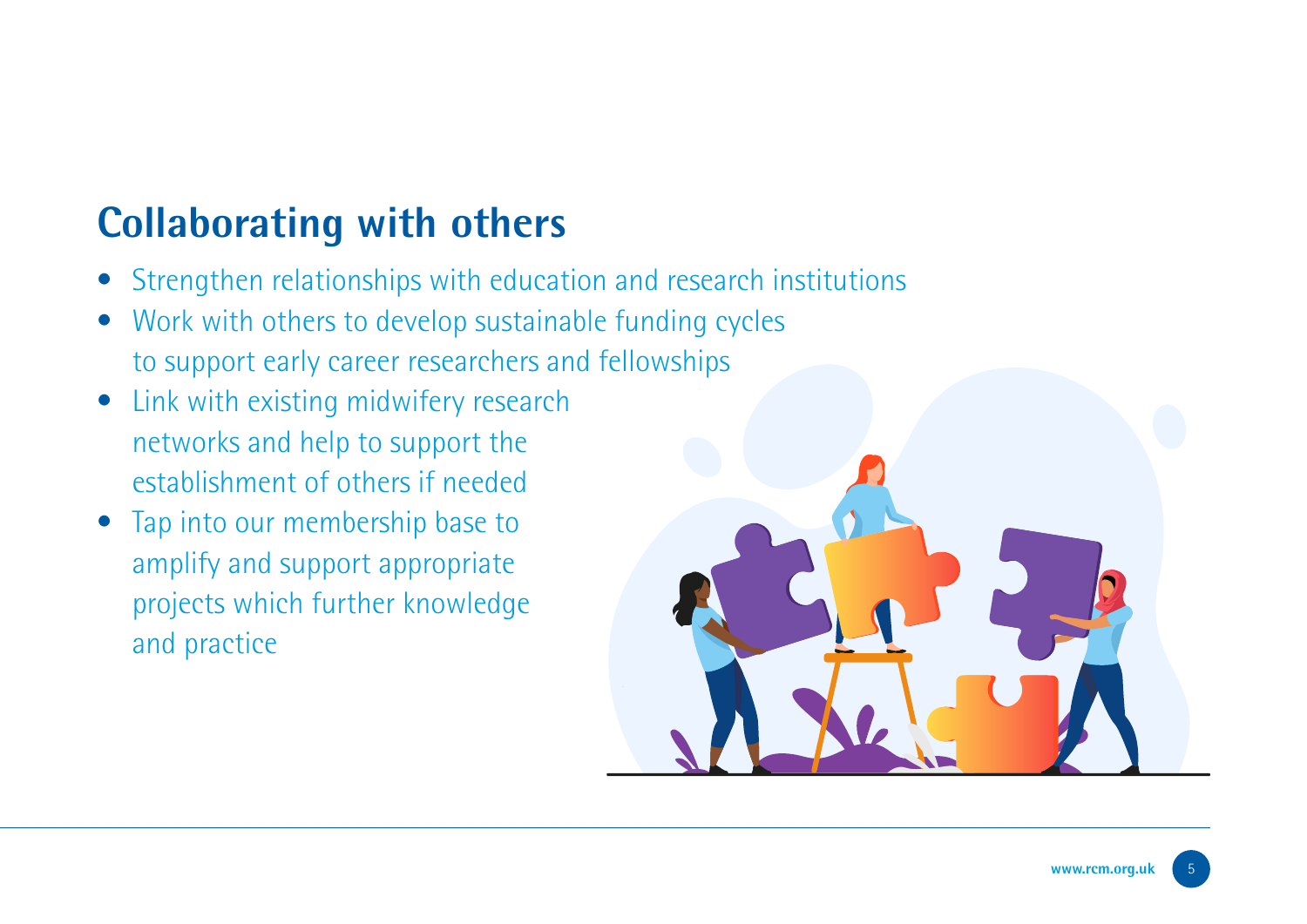#### **Collaborating with others**

- Strengthen relationships with education and research institutions
- Work with others to develop sustainable funding cycles to support early career researchers and fellowships
- Link with existing midwifery research networks and help to support the establishment of others if needed
- Tap into our membership base to amplify and support appropriate projects which further knowledge and practice

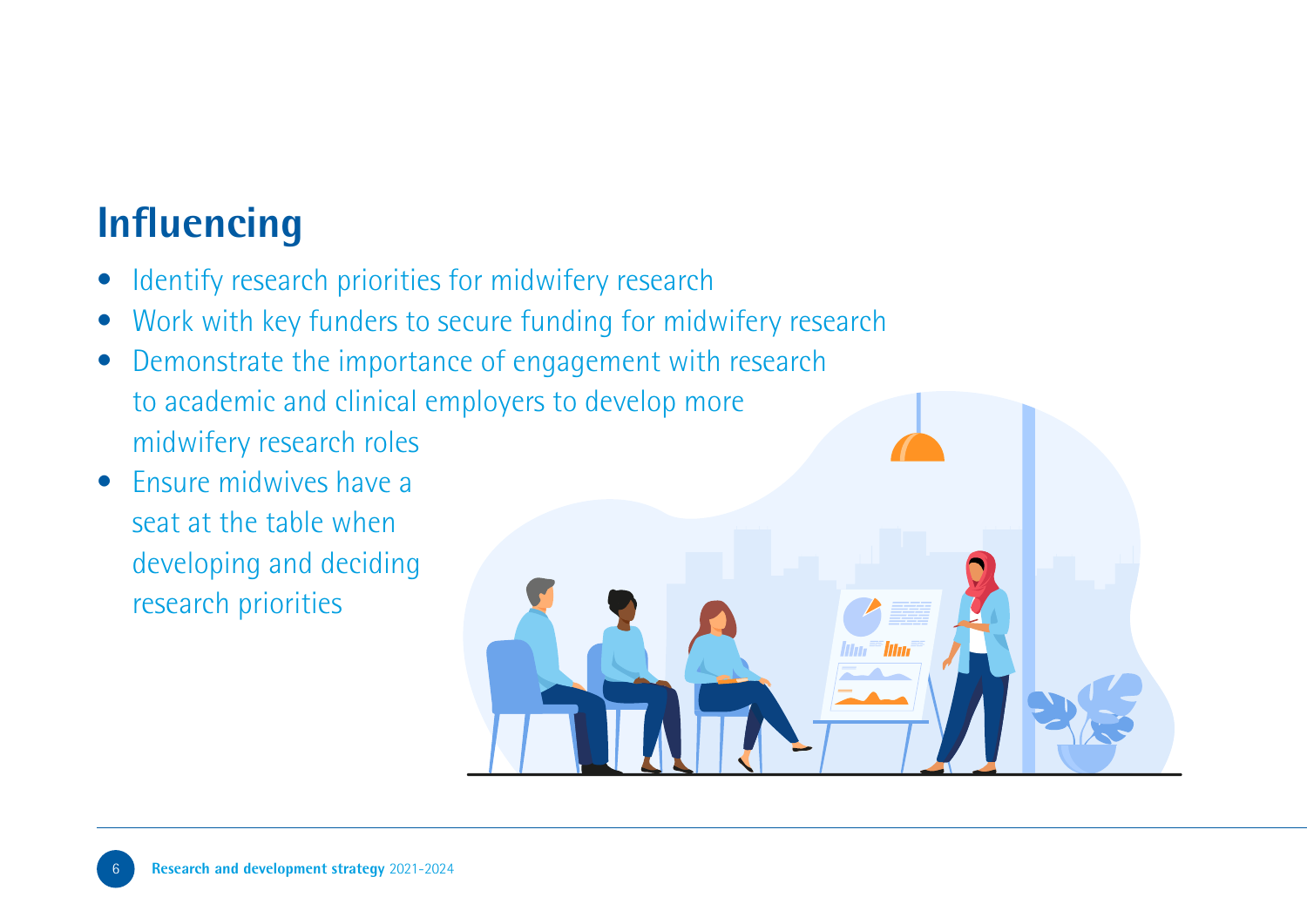#### **Influencing**

- Identify research priorities for midwifery research
- Work with key funders to secure funding for midwifery research
- Demonstrate the importance of engagement with research to academic and clinical employers to develop more midwifery research roles
- Ensure midwives have a seat at the table when developing and deciding research priorities

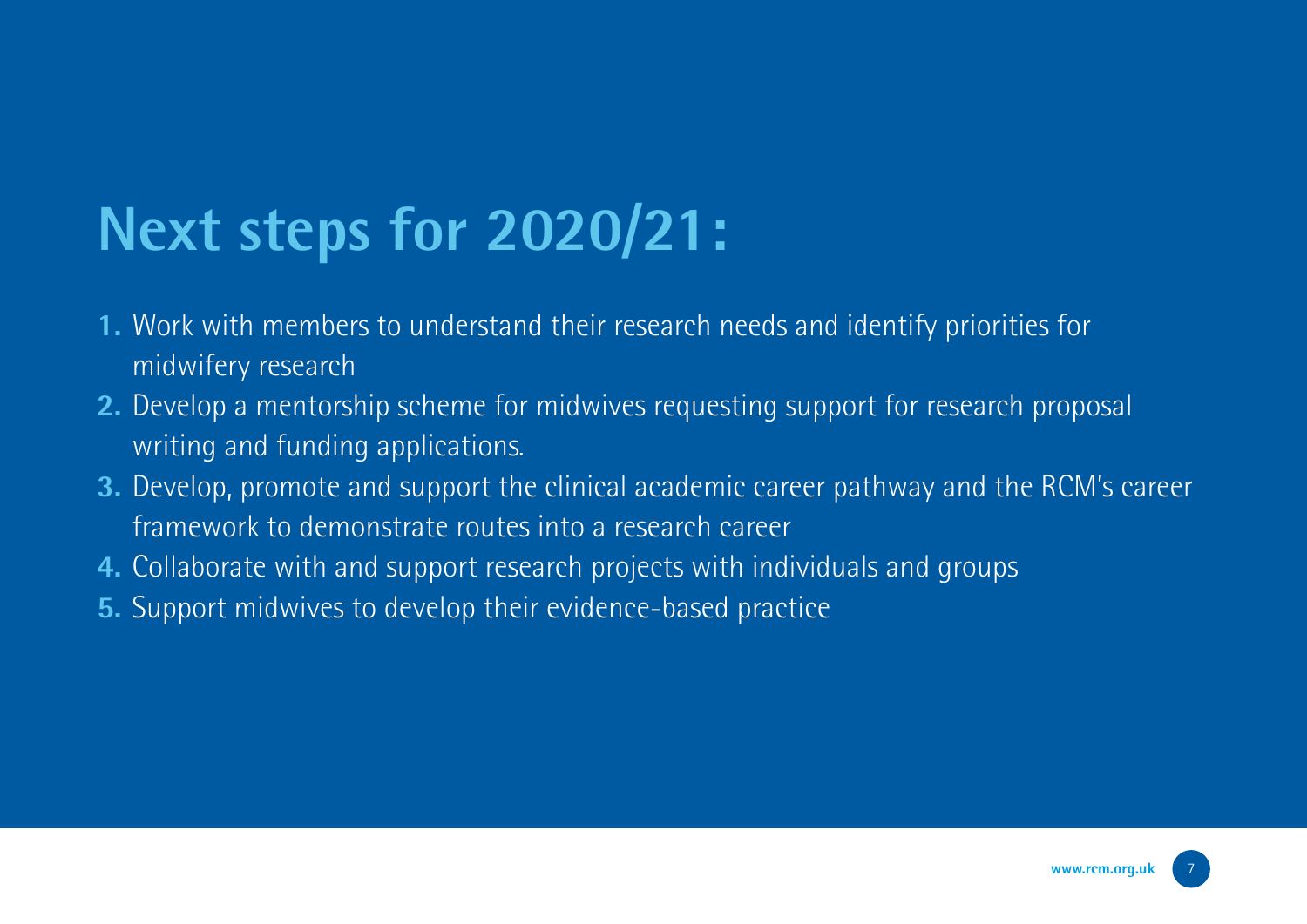## **Next steps for 2020/21:**

- **1.** Work with members to understand their research needs and identify priorities for midwifery research
- **2.** Develop a mentorship scheme for midwives requesting support for research proposal writing and funding applications.
- **3.** Develop, promote and support the clinical academic career pathway and the RCM's career framework to demonstrate routes into a research career
- **4.** Collaborate with and support research projects with individuals and groups
- **5.** Support midwives to develop their evidence-based practice